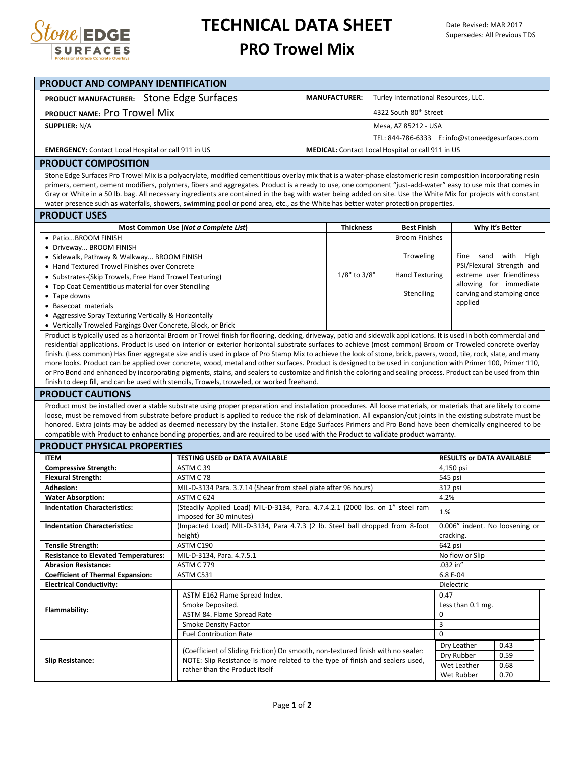

## **TECHNICAL DATA SHEET**

## **PRO Trowel Mix**

| PRODUCT AND COMPANY IDENTIFICATION                                                                                                                                                                                                                                                                                              |                                                                                                                                                                                                                                                                                                                           |                                                              |                                                 |                                                  |      |  |  |  |  |  |  |
|---------------------------------------------------------------------------------------------------------------------------------------------------------------------------------------------------------------------------------------------------------------------------------------------------------------------------------|---------------------------------------------------------------------------------------------------------------------------------------------------------------------------------------------------------------------------------------------------------------------------------------------------------------------------|--------------------------------------------------------------|-------------------------------------------------|--------------------------------------------------|------|--|--|--|--|--|--|
| PRODUCT MANUFACTURER: Stone Edge Surfaces                                                                                                                                                                                                                                                                                       |                                                                                                                                                                                                                                                                                                                           | <b>MANUFACTURER:</b><br>Turley International Resources, LLC. |                                                 |                                                  |      |  |  |  |  |  |  |
| PRODUCT NAME: Pro Trowel Mix                                                                                                                                                                                                                                                                                                    | 4322 South 80th Street                                                                                                                                                                                                                                                                                                    |                                                              |                                                 |                                                  |      |  |  |  |  |  |  |
| <b>SUPPLIER: N/A</b>                                                                                                                                                                                                                                                                                                            |                                                                                                                                                                                                                                                                                                                           |                                                              | Mesa, AZ 85212 - USA                            |                                                  |      |  |  |  |  |  |  |
|                                                                                                                                                                                                                                                                                                                                 |                                                                                                                                                                                                                                                                                                                           |                                                              | TEL: 844-786-6333 E: info@stoneedgesurfaces.com |                                                  |      |  |  |  |  |  |  |
|                                                                                                                                                                                                                                                                                                                                 |                                                                                                                                                                                                                                                                                                                           |                                                              |                                                 |                                                  |      |  |  |  |  |  |  |
| <b>MEDICAL:</b> Contact Local Hospital or call 911 in US<br><b>EMERGENCY:</b> Contact Local Hospital or call 911 in US                                                                                                                                                                                                          |                                                                                                                                                                                                                                                                                                                           |                                                              |                                                 |                                                  |      |  |  |  |  |  |  |
| <b>PRODUCT COMPOSITION</b>                                                                                                                                                                                                                                                                                                      |                                                                                                                                                                                                                                                                                                                           |                                                              |                                                 |                                                  |      |  |  |  |  |  |  |
| Stone Edge Surfaces Pro Trowel Mix is a polyacrylate, modified cementitious overlay mix that is a water-phase elastomeric resin composition incorporating resin<br>primers, cement, cement modifiers, polymers, fibers and aggregates. Product is a ready to use, one component "just-add-water" easy to use mix that comes in  |                                                                                                                                                                                                                                                                                                                           |                                                              |                                                 |                                                  |      |  |  |  |  |  |  |
| Gray or White in a 50 lb. bag. All necessary ingredients are contained in the bag with water being added on site. Use the White Mix for projects with constant                                                                                                                                                                  |                                                                                                                                                                                                                                                                                                                           |                                                              |                                                 |                                                  |      |  |  |  |  |  |  |
| water presence such as waterfalls, showers, swimming pool or pond area, etc., as the White has better water protection properties.                                                                                                                                                                                              |                                                                                                                                                                                                                                                                                                                           |                                                              |                                                 |                                                  |      |  |  |  |  |  |  |
| <b>PRODUCT USES</b>                                                                                                                                                                                                                                                                                                             |                                                                                                                                                                                                                                                                                                                           |                                                              |                                                 |                                                  |      |  |  |  |  |  |  |
|                                                                                                                                                                                                                                                                                                                                 | Most Common Use (Not a Complete List)                                                                                                                                                                                                                                                                                     | <b>Thickness</b>                                             | <b>Best Finish</b>                              | Why it's Better                                  |      |  |  |  |  |  |  |
| · PatioBROOM FINISH                                                                                                                                                                                                                                                                                                             |                                                                                                                                                                                                                                                                                                                           |                                                              | <b>Broom Finishes</b>                           |                                                  |      |  |  |  |  |  |  |
| • Driveway BROOM FINISH<br>• Sidewalk, Pathway & Walkway BROOM FINISH                                                                                                                                                                                                                                                           |                                                                                                                                                                                                                                                                                                                           |                                                              | Troweling                                       | Fine sand with High<br>PSI/Flexural Strength and |      |  |  |  |  |  |  |
| • Hand Textured Trowel Finishes over Concrete                                                                                                                                                                                                                                                                                   |                                                                                                                                                                                                                                                                                                                           |                                                              |                                                 |                                                  |      |  |  |  |  |  |  |
| • Substrates-(Skip Trowels, Free Hand Trowel Texturing)                                                                                                                                                                                                                                                                         |                                                                                                                                                                                                                                                                                                                           | 1/8" to 3/8"                                                 | <b>Hand Texturing</b>                           | extreme user friendliness                        |      |  |  |  |  |  |  |
| • Top Coat Cementitious material for over Stenciling                                                                                                                                                                                                                                                                            |                                                                                                                                                                                                                                                                                                                           |                                                              |                                                 | allowing for immediate                           |      |  |  |  |  |  |  |
| • Tape downs                                                                                                                                                                                                                                                                                                                    |                                                                                                                                                                                                                                                                                                                           |                                                              | Stenciling                                      | carving and stamping once<br>applied             |      |  |  |  |  |  |  |
| • Basecoat materials<br>• Aggressive Spray Texturing Vertically & Horizontally                                                                                                                                                                                                                                                  |                                                                                                                                                                                                                                                                                                                           |                                                              |                                                 |                                                  |      |  |  |  |  |  |  |
| • Vertically Troweled Pargings Over Concrete, Block, or Brick                                                                                                                                                                                                                                                                   |                                                                                                                                                                                                                                                                                                                           |                                                              |                                                 |                                                  |      |  |  |  |  |  |  |
| Product is typically used as a horizontal Broom or Trowel finish for flooring, decking, driveway, patio and sidewalk applications. It is used in both commercial and                                                                                                                                                            |                                                                                                                                                                                                                                                                                                                           |                                                              |                                                 |                                                  |      |  |  |  |  |  |  |
| residential applications. Product is used on interior or exterior horizontal substrate surfaces to achieve (most common) Broom or Troweled concrete overlay                                                                                                                                                                     |                                                                                                                                                                                                                                                                                                                           |                                                              |                                                 |                                                  |      |  |  |  |  |  |  |
| finish. (Less common) Has finer aggregate size and is used in place of Pro Stamp Mix to achieve the look of stone, brick, pavers, wood, tile, rock, slate, and many                                                                                                                                                             |                                                                                                                                                                                                                                                                                                                           |                                                              |                                                 |                                                  |      |  |  |  |  |  |  |
| more looks. Product can be applied over concrete, wood, metal and other surfaces. Product is designed to be used in conjunction with Primer 100, Primer 110,<br>or Pro Bond and enhanced by incorporating pigments, stains, and sealers to customize and finish the coloring and sealing process. Product can be used from thin |                                                                                                                                                                                                                                                                                                                           |                                                              |                                                 |                                                  |      |  |  |  |  |  |  |
|                                                                                                                                                                                                                                                                                                                                 | finish to deep fill, and can be used with stencils, Trowels, troweled, or worked freehand.                                                                                                                                                                                                                                |                                                              |                                                 |                                                  |      |  |  |  |  |  |  |
| <b>PRODUCT CAUTIONS</b>                                                                                                                                                                                                                                                                                                         |                                                                                                                                                                                                                                                                                                                           |                                                              |                                                 |                                                  |      |  |  |  |  |  |  |
|                                                                                                                                                                                                                                                                                                                                 | Product must be installed over a stable substrate using proper preparation and installation procedures. All loose materials, or materials that are likely to come                                                                                                                                                         |                                                              |                                                 |                                                  |      |  |  |  |  |  |  |
|                                                                                                                                                                                                                                                                                                                                 | loose, must be removed from substrate before product is applied to reduce the risk of delamination. All expansion/cut joints in the existing substrate must be<br>honored. Extra joints may be added as deemed necessary by the installer. Stone Edge Surfaces Primers and Pro Bond have been chemically engineered to be |                                                              |                                                 |                                                  |      |  |  |  |  |  |  |
|                                                                                                                                                                                                                                                                                                                                 | compatible with Product to enhance bonding properties, and are required to be used with the Product to validate product warranty.                                                                                                                                                                                         |                                                              |                                                 |                                                  |      |  |  |  |  |  |  |
| <b>PRODUCT PHYSICAL PROPERTIES</b>                                                                                                                                                                                                                                                                                              |                                                                                                                                                                                                                                                                                                                           |                                                              |                                                 |                                                  |      |  |  |  |  |  |  |
| <b>ITEM</b>                                                                                                                                                                                                                                                                                                                     | TESTING USED or DATA AVAILABLE                                                                                                                                                                                                                                                                                            |                                                              |                                                 | <b>RESULTS or DATA AVAILABLE</b>                 |      |  |  |  |  |  |  |
| <b>Compressive Strength:</b>                                                                                                                                                                                                                                                                                                    | ASTM C39                                                                                                                                                                                                                                                                                                                  |                                                              | 4,150 psi                                       |                                                  |      |  |  |  |  |  |  |
| <b>Flexural Strength:</b>                                                                                                                                                                                                                                                                                                       | ASTM C 78                                                                                                                                                                                                                                                                                                                 |                                                              | 545 psi                                         |                                                  |      |  |  |  |  |  |  |
| <b>Adhesion:</b>                                                                                                                                                                                                                                                                                                                | MIL-D-3134 Para. 3.7.14 (Shear from steel plate after 96 hours)                                                                                                                                                                                                                                                           |                                                              | 312 psi                                         |                                                  |      |  |  |  |  |  |  |
| <b>Water Absorption:</b><br><b>Indentation Characteristics:</b>                                                                                                                                                                                                                                                                 | ASTM C 624                                                                                                                                                                                                                                                                                                                |                                                              | 4.2%                                            |                                                  |      |  |  |  |  |  |  |
|                                                                                                                                                                                                                                                                                                                                 | (Steadily Applied Load) MIL-D-3134, Para. 4.7.4.2.1 (2000 lbs. on 1" steel ram<br>1.%<br>imposed for 30 minutes)                                                                                                                                                                                                          |                                                              |                                                 |                                                  |      |  |  |  |  |  |  |
| <b>Indentation Characteristics:</b>                                                                                                                                                                                                                                                                                             | (Impacted Load) MIL-D-3134, Para 4.7.3 (2 lb. Steel ball dropped from 8-foot                                                                                                                                                                                                                                              |                                                              | 0.006" indent. No loosening or                  |                                                  |      |  |  |  |  |  |  |
|                                                                                                                                                                                                                                                                                                                                 | height)                                                                                                                                                                                                                                                                                                                   |                                                              |                                                 | cracking.                                        |      |  |  |  |  |  |  |
| <b>Tensile Strength:</b><br><b>Resistance to Elevated Temperatures:</b>                                                                                                                                                                                                                                                         | ASTM C190<br>MIL-D-3134, Para. 4.7.5.1                                                                                                                                                                                                                                                                                    |                                                              | 642 psi<br>No flow or Slip                      |                                                  |      |  |  |  |  |  |  |
| <b>Abrasion Resistance:</b>                                                                                                                                                                                                                                                                                                     | ASTM C 779                                                                                                                                                                                                                                                                                                                |                                                              | .032 in"                                        |                                                  |      |  |  |  |  |  |  |
| <b>Coefficient of Thermal Expansion:</b>                                                                                                                                                                                                                                                                                        | ASTM C531                                                                                                                                                                                                                                                                                                                 |                                                              | 6.8 E-04                                        |                                                  |      |  |  |  |  |  |  |
| <b>Electrical Conductivity:</b>                                                                                                                                                                                                                                                                                                 |                                                                                                                                                                                                                                                                                                                           | Dielectric                                                   |                                                 |                                                  |      |  |  |  |  |  |  |
| Flammability:                                                                                                                                                                                                                                                                                                                   | ASTM E162 Flame Spread Index.                                                                                                                                                                                                                                                                                             |                                                              | 0.47                                            |                                                  |      |  |  |  |  |  |  |
|                                                                                                                                                                                                                                                                                                                                 | Smoke Deposited.<br>ASTM 84. Flame Spread Rate                                                                                                                                                                                                                                                                            |                                                              | Less than 0.1 mg.<br>0                          |                                                  |      |  |  |  |  |  |  |
|                                                                                                                                                                                                                                                                                                                                 | Smoke Density Factor                                                                                                                                                                                                                                                                                                      |                                                              | 3                                               |                                                  |      |  |  |  |  |  |  |
|                                                                                                                                                                                                                                                                                                                                 | <b>Fuel Contribution Rate</b>                                                                                                                                                                                                                                                                                             | 0                                                            |                                                 |                                                  |      |  |  |  |  |  |  |
|                                                                                                                                                                                                                                                                                                                                 |                                                                                                                                                                                                                                                                                                                           |                                                              | Dry Leather                                     | 0.43                                             |      |  |  |  |  |  |  |
| <b>Slip Resistance:</b>                                                                                                                                                                                                                                                                                                         | (Coefficient of Sliding Friction) On smooth, non-textured finish with no sealer:<br>NOTE: Slip Resistance is more related to the type of finish and sealers used,                                                                                                                                                         |                                                              | Dry Rubber                                      | 0.59                                             |      |  |  |  |  |  |  |
|                                                                                                                                                                                                                                                                                                                                 | rather than the Product itself                                                                                                                                                                                                                                                                                            |                                                              |                                                 | Wet Leather                                      | 0.68 |  |  |  |  |  |  |
|                                                                                                                                                                                                                                                                                                                                 |                                                                                                                                                                                                                                                                                                                           |                                                              | Wet Rubber                                      | 0.70                                             |      |  |  |  |  |  |  |